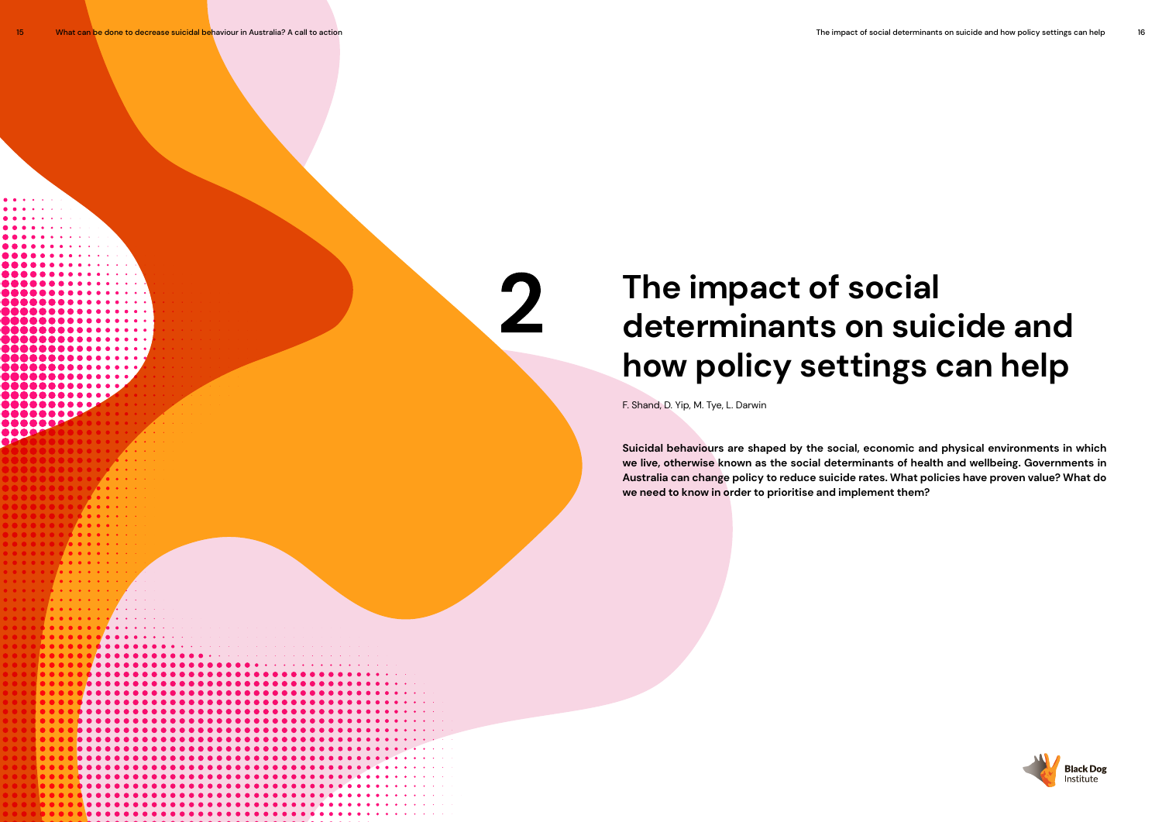# **The impact of social determinants on suicide and how policy settings can help**

F. Shand, D. Yip, M. Tye, L. Darwin

 $\mathbf 2$ 

**Suicidal behaviours are shaped by the social, economic and physical environments in which we live, otherwise known as the social determinants of health and wellbeing. Governments in Australia can change policy to reduce suicide rates. What policies have proven value? What do we need to know in order to prioritise and implement them?** 

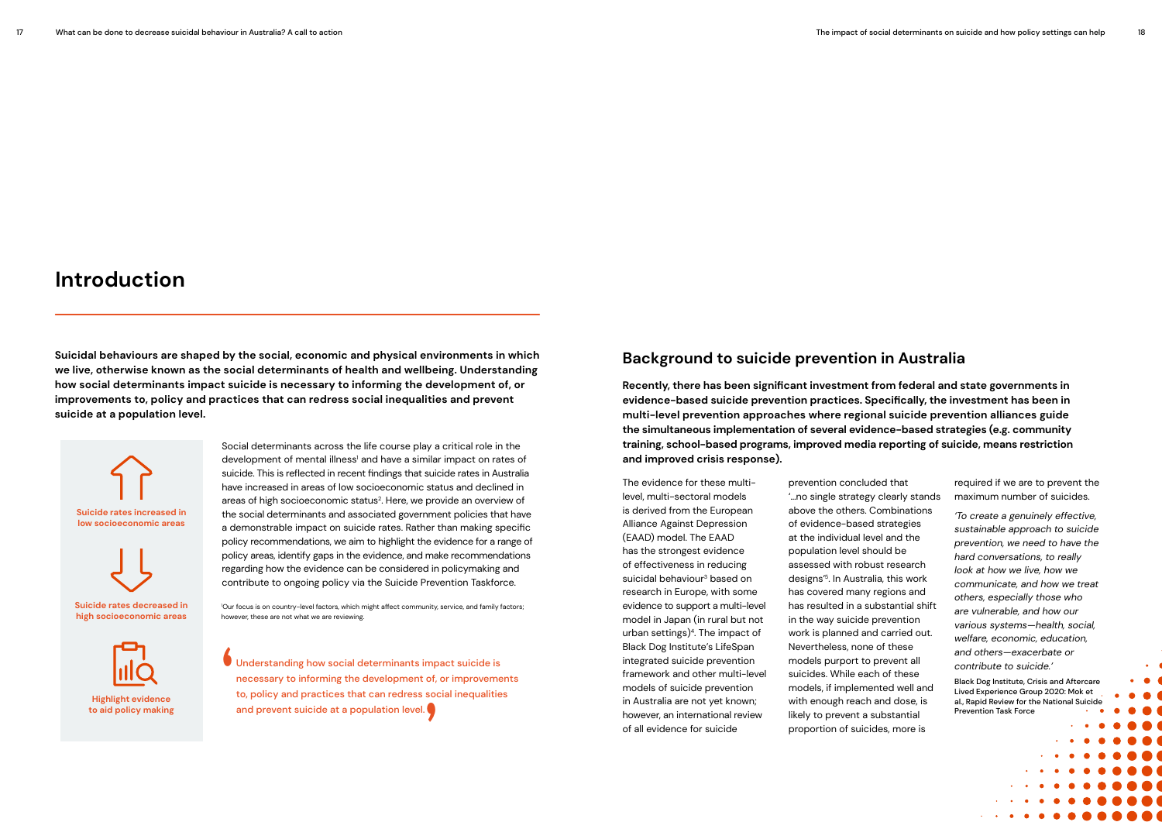## **Introduction**

**Suicidal behaviours are shaped by the social, economic and physical environments in which we live, otherwise known as the social determinants of health and wellbeing. Understanding how social determinants impact suicide is necessary to informing the development of, or improvements to, policy and practices that can redress social inequalities and prevent suicide at a population level.** 

> Social determinants across the life course play a critical role in the development of mental illness<sup>1</sup> and have a similar impact on rates of suicide. This is reflected in recent findings that suicide rates in Australia have increased in areas of low socioeconomic status and declined in areas of high socioeconomic status<sup>2</sup>. Here, we provide an overview of the social determinants and associated government policies that have a demonstrable impact on suicide rates. Rather than making specific policy recommendations, we aim to highlight the evidence for a range of policy areas, identify gaps in the evidence, and make recommendations regarding how the evidence can be considered in policymaking and contribute to ongoing policy via the Suicide Prevention Taskforce.

### **Background to suicide prevention in Australia**

**Recently, there has been significant investment from federal and state governments in evidence-based suicide prevention practices. Specifically, the investment has been in multi-level prevention approaches where regional suicide prevention alliances guide the simultaneous implementation of several evidence-based strategies (e.g. community training, school-based programs, improved media reporting of suicide, means restriction and improved crisis response).** 

The evidence for these multilevel, multi-sectoral models is derived from the European Alliance Against Depression (EAAD) model. The EAAD has the strongest evidence of effectiveness in reducing suicidal behaviour3 based on research in Europe, with some evidence to support a multi-level model in Japan (in rural but not urban settings)<sup>4</sup>. The impact of Black Dog Institute's LifeSpan integrated suicide prevention framework and other multi-level models of suicide prevention in Australia are not yet known; however, an international review of all evidence for suicide

prevention concluded that '…no single strategy clearly stands above the others. Combinations of evidence-based strategies at the individual level and the population level should be assessed with robust research designs'5. In Australia, this work has covered many regions and has resulted in a substantial shift in the way suicide prevention work is planned and carried out. Nevertheless, none of these models purport to prevent all suicides. While each of these models, if implemented well and with enough reach and dose, is likely to prevent a substantial proportion of suicides, more is

required if we are to prevent the maximum number of suicides.

*'To create a genuinely effective, sustainable approach to suicide prevention, we need to have the hard conversations, to really look at how we live, how we communicate, and how we treat others, especially those who are vulnerable, and how our various systems—health, social, welfare, economic, education, and others—exacerbate or contribute to suicide.'*

Black Dog Institute, Crisis and Aftercare Lived Experience Group 2020: Mok et al., Rapid Review for the National Suicide Prevention Task Force

**Suicide rates decreased in high socioeconomic areas** 



**Highlight evidence to aid policy making**



1 Our focus is on country-level factors, which might affect community, service, and family factors; however, these are not what we are reviewing.

Understanding how social determinants impact suicide is necessary to informing the development of, or improvements to, policy and practices that can redress social inequalities and prevent suicide at a population level.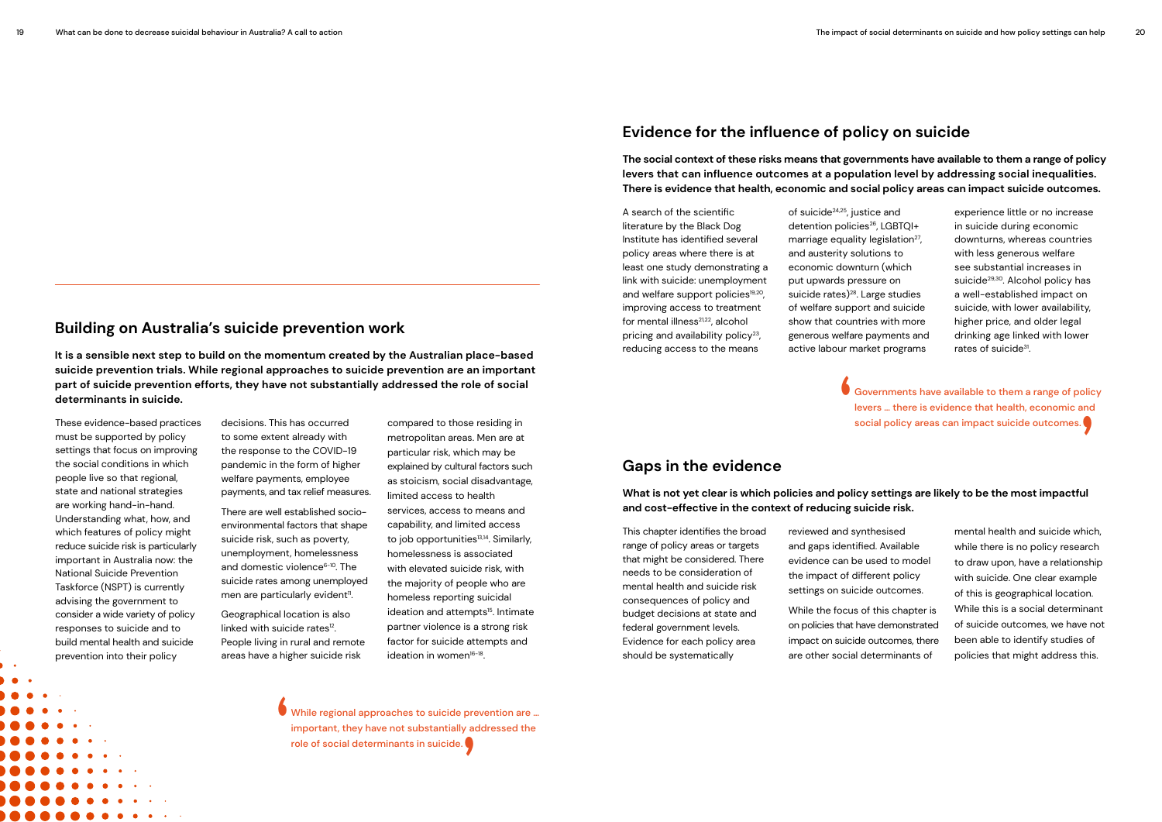### **Building on Australia's suicide prevention work**

**It is a sensible next step to build on the momentum created by the Australian place-based suicide prevention trials. While regional approaches to suicide prevention are an important part of suicide prevention efforts, they have not substantially addressed the role of social determinants in suicide.** 

> While regional approaches to suicide prevention are … important, they have not substantially addressed the role of social determinants in suicide.



These evidence-based practices decisions. This has occurred compared to those residing in social policy areas can impact suicide outcomes.<br>
must be supported by policy to some extent already with metropolitan areas. Men ar decisions. This has occurred to some extent already with the response to the COVID-19 pandemic in the form of higher welfare payments, employee payments, and tax relief measures.

> There are well established socioenvironmental factors that shape suicide risk, such as poverty, unemployment, homelessness and domestic violence $6-10$ . The suicide rates among unemployed men are particularly evident<sup>11</sup>.

compared to those residing in metropolitan areas. Men are at particular risk, which may be explained by cultural factors such as stoicism, social disadvantage, limited access to health services, access to means and capability, and limited access to job opportunities<sup>13,14</sup>. Similarly, homelessness is associated with elevated suicide risk, with the majority of people who are homeless reporting suicidal ideation and attempts<sup>15</sup>. Intimate partner violence is a strong risk factor for suicide attempts and ideation in women $16-18$ .

must be supported by policy settings that focus on improving the social conditions in which people live so that regional, state and national strategies are working hand-in-hand. Understanding what, how, and which features of policy might reduce suicide risk is particularly important in Australia now: the National Suicide Prevention Taskforce (NSPT) is currently advising the government to consider a wide variety of policy responses to suicide and to build mental health and suicide prevention into their policy

Geographical location is also linked with suicide rates<sup>12</sup>. People living in rural and remote areas have a higher suicide risk

of suicide<sup>24,25</sup>, justice and detention policies<sup>26</sup>, LGBTQI+ marriage equality legislation<sup>27</sup>, and austerity solutions to economic downturn (which put upwards pressure on suicide rates)<sup>28</sup>. Large studies of welfare support and suicide show that countries with more generous welfare payments and active labour market programs

experience little or no increase in suicide during economic downturns, whereas countries with less generous welfare see substantial increases in suicide<sup>29,30</sup>. Alcohol policy has a well-established impact on suicide, with lower availability, higher price, and older legal drinking age linked with lower rates of suicide<sup>31</sup>.

Governments have available to them a range of policy levers … there is evidence that health, economic and social policy areas can impact suicide outcomes.

### **Evidence for the influence of policy on suicide**

**The social context of these risks means that governments have available to them a range of policy levers that can influence outcomes at a population level by addressing social inequalities. There is evidence that health, economic and social policy areas can impact suicide outcomes.**

### **Gaps in the evidence**

**What is not yet clear is which policies and policy settings are likely to be the most impactful and cost-effective in the context of reducing suicide risk.** 

A search of the scientific literature by the Black Dog Institute has identified several policy areas where there is at least one study demonstrating a link with suicide: unemployment and welfare support policies<sup>19,20</sup>, improving access to treatment for mental illness<sup>21,22</sup>, alcohol pricing and availability policy<sup>23</sup>, reducing access to the means

This chapter identifies the broad range of policy areas or targets that might be considered. There needs to be consideration of mental health and suicide risk consequences of policy and budget decisions at state and federal government levels. Evidence for each policy area should be systematically

reviewed and synthesised and gaps identified. Available evidence can be used to model the impact of different policy settings on suicide outcomes.

While the focus of this chapter is on policies that have demonstrated impact on suicide outcomes, there are other social determinants of

mental health and suicide which, while there is no policy research to draw upon, have a relationship with suicide. One clear example of this is geographical location. While this is a social determinant of suicide outcomes, we have not been able to identify studies of policies that might address this.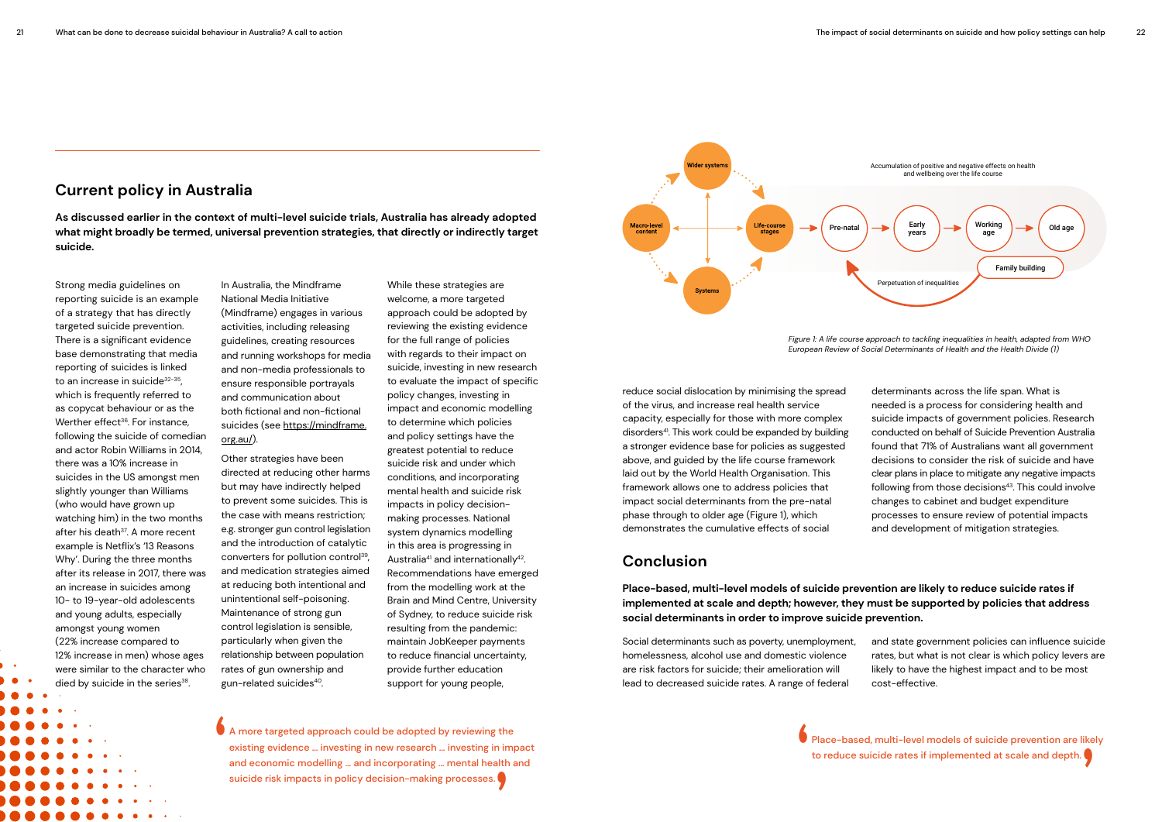

Strong media guidelines on reporting suicide is an example of a strategy that has directly targeted suicide prevention. There is a significant evidence base demonstrating that media reporting of suicides is linked to an increase in suicide<sup>32-35</sup>, which is frequently referred to as copycat behaviour or as the Werther effect<sup>36</sup>. For instance, following the suicide of comedian and actor Robin Williams in 2014, there was a 10% increase in suicides in the US amongst men slightly younger than Williams (who would have grown up watching him) in the two months after his death<sup>37</sup>. A more recent example is Netflix's '13 Reasons Why'. During the three months after its release in 2017, there was an increase in suicides among 10- to 19-year-old adolescents and young adults, especially amongst young women (22% increase compared to 12% increase in men) whose ages were similar to the character who died by suicide in the series<sup>38</sup>.

**As discussed earlier in the context of multi-level suicide trials, Australia has already adopted what might broadly be termed, universal prevention strategies, that directly or indirectly target suicide.** 

> In Australia, the Mindframe National Media Initiative (Mindframe) engages in various activities, including releasing guidelines, creating resources and running workshops for media and non-media professionals to ensure responsible portrayals and communication about both fictional and non-fictional suicides (see [https://mindframe.](https://mindframe.org.au/) [org.au/](https://mindframe.org.au/)).

> Other strategies have been directed at reducing other harms but may have indirectly helped to prevent some suicides. This is the case with means restriction; e.g. stronger gun control legislation and the introduction of catalytic converters for pollution control39, and medication strategies aimed at reducing both intentional and unintentional self-poisoning. Maintenance of strong gun control legislation is sensible, particularly when given the relationship between population rates of gun ownership and gun-related suicides40.

While these strategies are welcome, a more targeted approach could be adopted by reviewing the existing evidence for the full range of policies with regards to their impact on suicide, investing in new research to evaluate the impact of specific policy changes, investing in impact and economic modelling to determine which policies and policy settings have the greatest potential to reduce suicide risk and under which conditions, and incorporating mental health and suicide risk impacts in policy decisionmaking processes. National system dynamics modelling in this area is progressing in Australia<sup>41</sup> and internationally<sup>42</sup>. Recommendations have emerged from the modelling work at the Brain and Mind Centre, University of Sydney, to reduce suicide risk resulting from the pandemic: maintain JobKeeper payments to reduce financial uncertainty, provide further education support for young people,

A more targeted approach could be adopted by reviewing the existing evidence … investing in new research … investing in impact and economic modelling … and incorporating … mental health and suicide risk impacts in policy decision-making processes.

Place-based, multi-level models of suicide prevention are likely to reduce suicide rates if implemented at scale and depth.

### **Conclusion**

**Place-based, multi-level models of suicide prevention are likely to reduce suicide rates if implemented at scale and depth; however, they must be supported by policies that address social determinants in order to improve suicide prevention.** 

reduce social dislocation by minimising the spread of the virus, and increase real health service capacity, especially for those with more complex disorders<sup>41</sup>. This work could be expanded by building a stronger evidence base for policies as suggested above, and guided by the life course framework laid out by the World Health Organisation. This framework allows one to address policies that impact social determinants from the pre-natal phase through to older age (Figure 1), which demonstrates the cumulative effects of social

determinants across the life span. What is needed is a process for considering health and suicide impacts of government policies. Research conducted on behalf of Suicide Prevention Australia found that 71% of Australians want all government decisions to consider the risk of suicide and have clear plans in place to mitigate any negative impacts following from those decisions<sup>43</sup>. This could involve changes to cabinet and budget expenditure processes to ensure review of potential impacts and development of mitigation strategies.

Social determinants such as poverty, unemployment, homelessness, alcohol use and domestic violence are risk factors for suicide; their amelioration will lead to decreased suicide rates. A range of federal and state government policies can influence suicide rates, but what is not clear is which policy levers are likely to have the highest impact and to be most cost-effective.



*Figure 1: A life course approach to tackling inequalities in health, adapted from WHO European Review of Social Determinants of Health and the Health Divide (1)*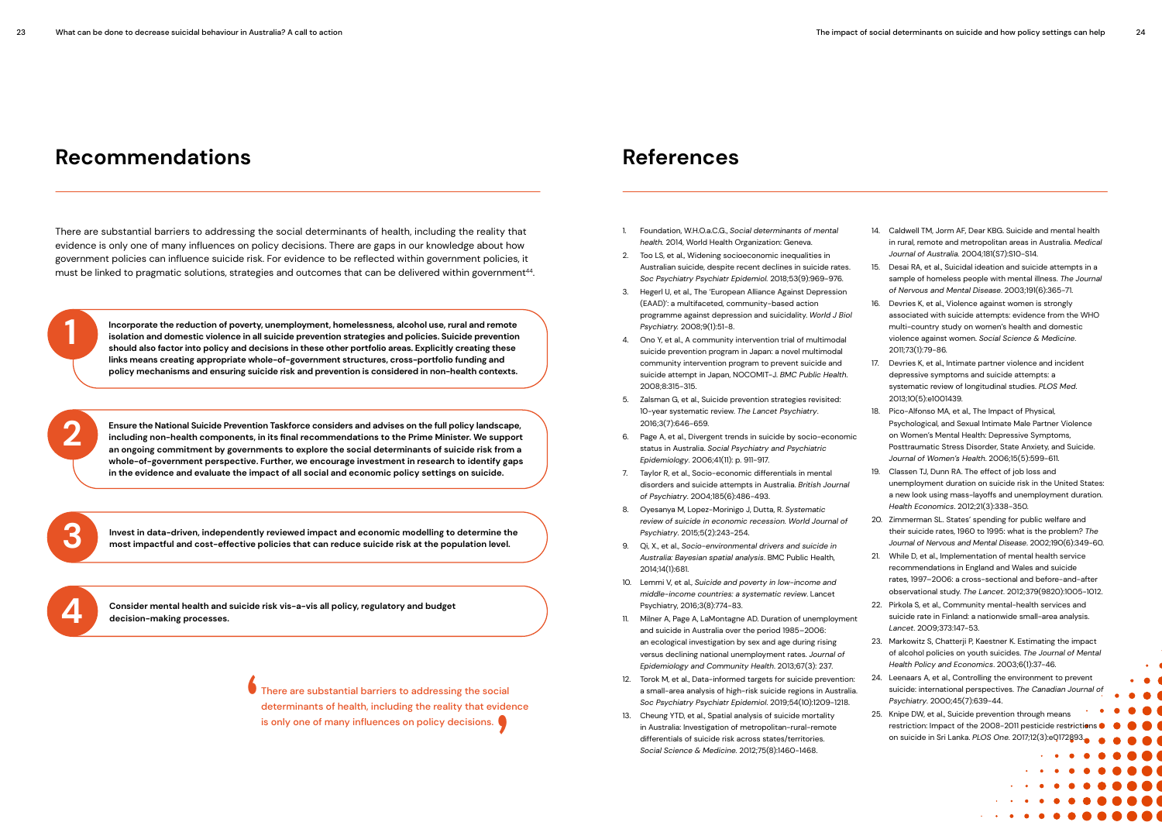# **Recommendations References**

- 1. Foundation, W.H.O.a.C.G., *Social determinants of mental health.* 2014, World Health Organization: Geneva.
- 2. Too LS, et al., Widening socioeconomic inequalities in Australian suicide, despite recent declines in suicide rates. *Soc Psychiatry Psychiatr Epidemiol.* 2018;53(9):969-976.
- 3. Hegerl U, et al., The 'European Alliance Against Depression (EAAD)': a multifaceted, community-based action programme against depression and suicidality. *World J Biol Psychiatry.* 2008;9(1):51-8.
- 4. Ono Y, et al., A community intervention trial of multimodal suicide prevention program in Japan: a novel multimodal community intervention program to prevent suicide and suicide attempt in Japan, NOCOMIT-J. *BMC Public Health*. 2008;8:315-315.
- 5. Zalsman G, et al., Suicide prevention strategies revisited: 10-year systematic review. *The Lancet Psychiatry*. 2016;3(7):646-659.
- 6. Page A, et al., Divergent trends in suicide by socio-economic status in Australia. *Social Psychiatry and Psychiatric Epidemiology*. 2006;41(11): p. 911-917.
- 7. Taylor R, et al., Socio-economic differentials in mental disorders and suicide attempts in Australia. *British Journal of Psychiatry*. 2004;185(6):486-493.
- 8. Oyesanya M, Lopez-Morinigo J, Dutta, R. *Systematic review of suicide in economic recession. World Journal of Psychiatry*. 2015;5(2):243-254.
- 9. Qi, X., et al., *Socio-environmental drivers and suicide in Australia: Bayesian spatial analysis*. BMC Public Health, 2014;14(1):681.
- 10. Lemmi V, et al., *Suicide and poverty in low-income and middle-income countries: a systematic review*. Lancet Psychiatry, 2016;3(8):774-83.
- 11. Milner A, Page A, LaMontagne AD. Duration of unemployment and suicide in Australia over the period 1985–2006: an ecological investigation by sex and age during rising versus declining national unemployment rates. *Journal of Epidemiology and Community Health*. 2013;67(3): 237. *Lancet*. 2009;373:147-53. 23. Markowitz S, Chatterji P, Kaestner K. Estimating the impact of alcohol policies on youth suicides. *The Journal of Mental Health Policy and Economics*. 2003;6(1):37-46.
- 12. Torok M, et al., Data-informed targets for suicide prevention: a small-area analysis of high-risk suicide regions in Australia. *Soc Psychiatry Psychiatr Epidemiol*. 2019;54(10):1209-1218. 24. Leenaars A, et al., Controlling the environment to prevent suicide: international perspectives. *The Canadian Journal of Psychiatry*. 2000;45(7):639-44.
- 13. Cheung YTD, et al., Spatial analysis of suicide mortality in Australia: Investigation of metropolitan-rural-remote differentials of suicide risk across states/territories. *Social Science & Medicine.* 2012;75(8):1460-1468.

There are substantial barriers to addressing the social determinants of health, including the reality that evidence is only one of many influences on policy decisions. There are gaps in our knowledge about how government policies can influence suicide risk. For evidence to be reflected within government policies, it must be linked to pragmatic solutions, strategies and outcomes that can be delivered within government<sup>44</sup>.

- 14. Caldwell TM, Jorm AF, Dear KBG. Suicide and mental health in rural, remote and metropolitan areas in Australia. *Medical Journal of Australia.* 2004;181(S7):S10-S14.
- 15. Desai RA, et al., Suicidal ideation and suicide attempts in a sample of homeless people with mental illness. *The Journal of Nervous and Mental Disease*. 2003;191(6):365-71.
- 16. Devries K, et al., Violence against women is strongly associated with suicide attempts: evidence from the WHO multi-country study on women's health and domestic violence against women. *Social Science & Medicine*. 2011;73(1):79-86.
- 17. Devries K, et al., Intimate partner violence and incident depressive symptoms and suicide attempts: a systematic review of longitudinal studies. *PLOS Med*. 2013;10(5):e1001439.
- 18. Pico-Alfonso MA, et al., The Impact of Physical, Psychological, and Sexual Intimate Male Partner Violence on Women's Mental Health: Depressive Symptoms, Posttraumatic Stress Disorder, State Anxiety, and Suicide. *Journal of Women's Health*. 2006;15(5):599-611.
- 19. Classen TJ, Dunn RA. The effect of job loss and unemployment duration on suicide risk in the United States: a new look using mass-layoffs and unemployment duration. *Health Economics*. 2012;21(3):338-350.
- 20. Zimmerman SL. States' spending for public welfare and their suicide rates, 1960 to 1995: what is the problem? *The Journal of Nervous and Mental Disease*. 2002;190(6):349-60.
- 21. While D, et al., Implementation of mental health service recommendations in England and Wales and suicide rates, 1997–2006: a cross-sectional and before-and-after observational study. *The Lancet*. 2012;379(9820):1005-1012.
- 22. Pirkola S, et al., Community mental-health services and suicide rate in Finland: a nationwide small-area analysis.
- 25. Knipe DW, et al., Suicide prevention through means restriction: Impact of the 2008-2011 pesticide restrictions on suicide in Sri Lanka. *PLOS One*. 2017;12(3):e0172893.

**'** There are substantial barriers to addressing the social determinants of health, including the reality that evidence is only one of many influences on policy decisions.

**Consider mental health and suicide risk vis-a-vis all policy, regulatory and budget 4 decision-making processes.**

**Incorporate the reduction of poverty, unemployment, homelessness, alcohol use, rural and remote isolation and domestic violence in all suicide prevention strategies and policies. Suicide prevention should also factor into policy and decisions in these other portfolio areas. Explicitly creating these links means creating appropriate whole-of-government structures, cross-portfolio funding and policy mechanisms and ensuring suicide risk and prevention is considered in non-health contexts.** 

**1**

**Ensure the National Suicide Prevention Taskforce considers and advises on the full policy landscape, including non-health components, in its final recommendations to the Prime Minister. We support an ongoing commitment by governments to explore the social determinants of suicide risk from a whole-of-government perspective. Further, we encourage investment in research to identify gaps in the evidence and evaluate the impact of all social and economic policy settings on suicide.** 

**Invest in data-driven, independently reviewed impact and economic modelling to determine the most impactful and cost-effective policies that can reduce suicide risk at the population level.** 



**2**